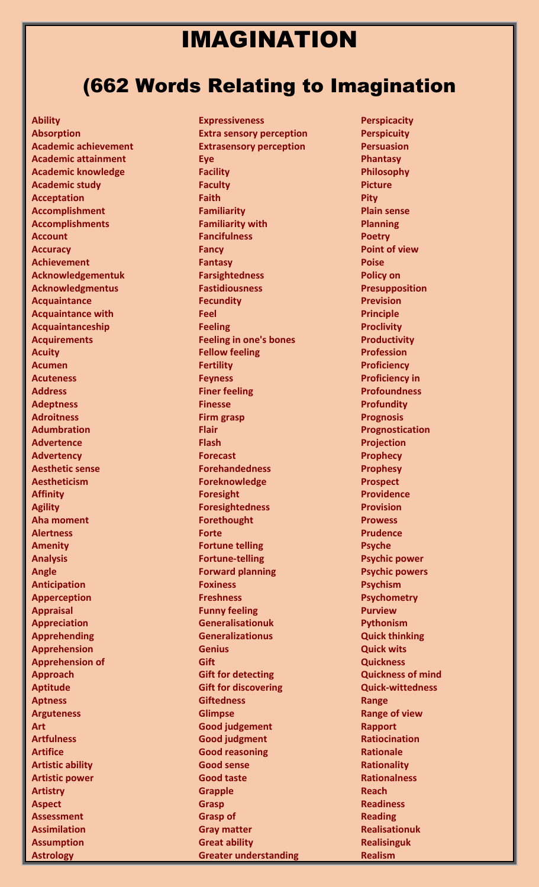# IMAGINATION

# (662 Words Relating to Imagination

**Ability Absorption Academic achievement Academic attainment Academic knowledge Academic study Acceptation Accomplishment Accomplishments Account Accuracy Achievement Acknowledgementuk Acknowledgmentus Acquaintance Acquaintance with Acquaintanceship Acquirements Acuity Acumen Acuteness Address Adeptness Adroitness Adumbration Advertence Advertency Aesthetic sense Aestheticism Affinity Agility Aha moment Alertness Amenity Analysis Angle Anticipation Apperception Appraisal Appreciation Apprehending Apprehension Apprehension of Approach Aptitude Aptness Arguteness Art Artfulness Artifice Artistic ability Artistic power Artistry Aspect Assessment Assimilation Assumption Astrology**

**Expressiveness Extra sensory perception Extrasensory perception Eye Facility Faculty Faith Familiarity Familiarity with Fancifulness Fancy Fantasy Farsightedness Fastidiousness Fecundity Feel Feeling Feeling in one's bones Fellow feeling Fertility Feyness Finer feeling Finesse Firm grasp Flair Flash Forecast Forehandedness Foreknowledge Foresight Foresightedness Forethought Forte Fortune telling Fortune-telling Forward planning Foxiness Freshness Funny feeling Generalisationuk Generalizationus Genius Gift Gift for detecting Gift for discovering Giftedness Glimpse Good judgement Good judgment Good reasoning Good sense Good taste Grapple Grasp Grasp of Gray matter Great ability Greater understanding**

**Perspicacity Perspicuity Persuasion Phantasy Philosophy Picture Pity Plain sense Planning Poetry Point of view Poise Policy on Presupposition Prevision Principle Proclivity Productivity Profession Proficiency Proficiency in Profoundness Profundity Prognosis Prognostication Projection Prophecy Prophesy Prospect Providence Provision Prowess Prudence Psyche Psychic power Psychic powers Psychism Psychometry Purview Pythonism Quick thinking Quick wits Quickness Quickness of mind Quick-wittedness Range Range of view Rapport Ratiocination Rationale Rationality Rationalness Reach Readiness Reading Realisationuk Realisinguk Realism**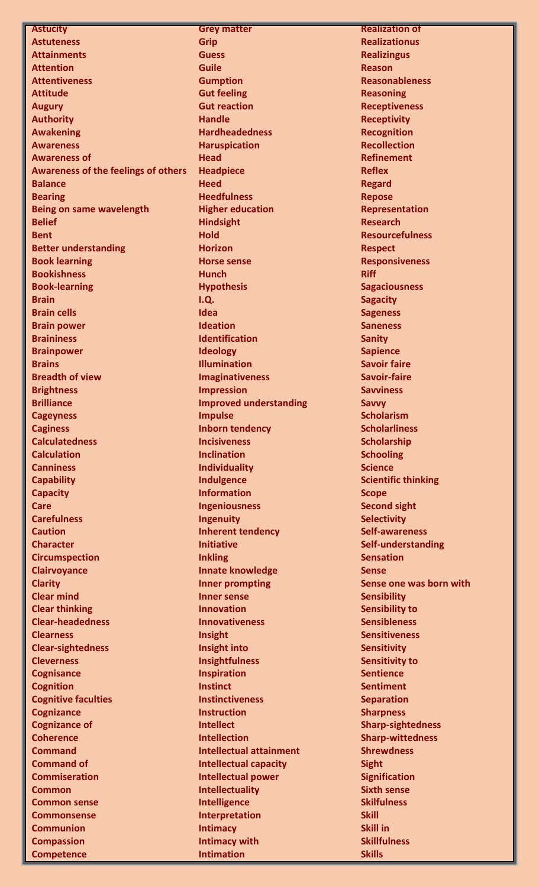**Astucity Astuteness Attainments Attention Attentiveness Attitude Augury Authority Awakening Awareness Awareness of Awareness of the feelings of others Balance Bearing Being on same wavelength Belief Bent Better understanding Book learning Bookishness Book-learning Brain Brain cells Brain power Braininess Brainpower Brains Breadth of view Brightness Brilliance Cageyness Caginess Calculatedness Calculation Canniness Capability Capacity Care Carefulness Caution Character Circumspection Clairvoyance Clarity Clear mind Clear thinking Clear-headedness Clearness Clear-sightedness Cleverness Cognisance Cognition Cognitive faculties Cognizance Cognizance of Coherence Command Command of Commiseration Common Common sense Commonsense Communion Compassion**

**Competence**

**Grey matter Grip Guess Guile Gumption Gut feeling Gut reaction Handle Hardheadedness Haruspication Head Headpiece Heed Heedfulness Higher education Hindsight Hold Horizon Horse sense Hunch Hypothesis I.Q. Idea Ideation Identification Ideology Illumination Imaginativeness Impression Improved understanding Impulse Inborn tendency Incisiveness Inclination Individuality Indulgence Information Ingeniousness Ingenuity Inherent tendency Initiative Inkling Innate knowledge Inner prompting Inner sense Innovation Innovativeness Insight Insight into Insightfulness Inspiration Instinct Instinctiveness Instruction Intellect Intellection Intellectual attainment Intellectual capacity Intellectual power Intellectuality Intelligence Interpretation Intimacy Intimacy with Intimation**

**Realization of Realizationus Realizingus Reason Reasonableness Reasoning Receptiveness Receptivity Recognition Recollection Refinement Reflex Regard Repose Representation Research Resourcefulness Respect Responsiveness Riff Sagaciousness Sagacity Sageness Saneness Sanity Sapience Savoir faire Savoir-faire Savviness Savvy Scholarism Scholarliness Scholarship Schooling Science Scientific thinking Scope Second sight Selectivity Self-awareness Self-understanding Sensation Sense Sense one was born with Sensibility Sensibility to Sensibleness Sensitiveness Sensitivity Sensitivity to Sentience Sentiment Separation Sharpness Sharp-sightedness Sharp-wittedness Shrewdness Sight Signification Sixth sense Skilfulness Skill Skill in Skillfulness Skills**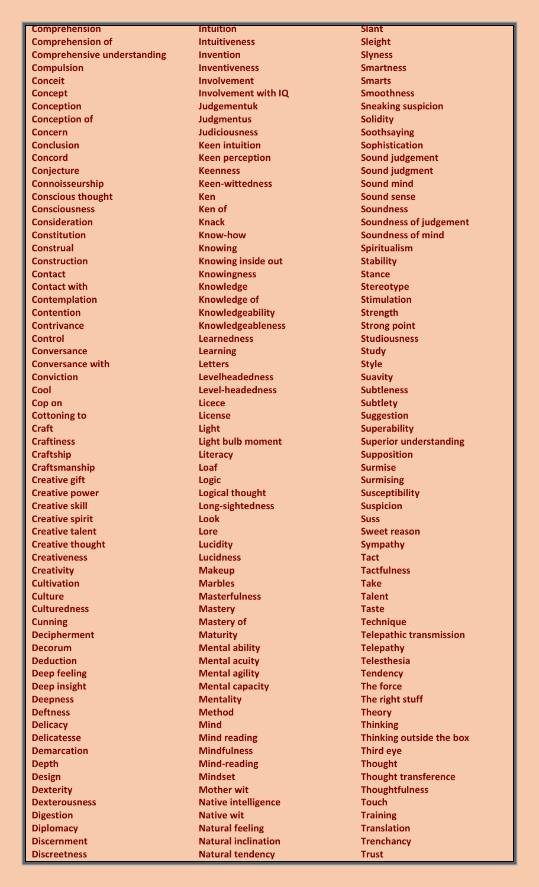#### **Comprehension**

**Comprehension of Comprehensive understanding Compulsion Conceit Concept Conception Conception of Concern Conclusion Concord Conjecture Connoisseurship Conscious thought Consciousness Consideration Constitution Construal Construction Contact Contact with Contemplation Contention Contrivance Control Conversance Conversance with Conviction Cool Cop on Cottoning to Craft Craftiness Craftship Craftsmanship Creative gift Creative power Creative skill Creative spirit Creative talent Creative thought Creativeness Creativity Cultivation Culture Culturedness Cunning Decipherment Decorum Deduction Deep feeling Deep insight Deepness Deftness Delicacy Delicatesse Demarcation Depth Design Dexterity Dexterousness Digestion Diplomacy Discernment**

**Discreetness**

#### **Intuition**

**Intuitiveness Invention Inventiveness Involvement Involvement with IQ Judgementuk Judgmentus Judiciousness Keen intuition Keen perception Keenness Keen-wittedness Ken Ken of Knack Know-how Knowing Knowing inside out Knowingness Knowledge Knowledge of Knowledgeability Knowledgeableness Learnedness Learning Letters Levelheadedness Level-headedness Licece License Light Light bulb moment Literacy Loaf Logic Logical thought Long-sightedness Look Lore Lucidity Lucidness Makeup Marbles Masterfulness Mastery Mastery of Maturity Mental ability Mental acuity Mental agility Mental capacity Mentality Method Mind Mind reading Mindfulness Mind-reading Mindset Mother wit Native intelligence Native wit Natural feeling Natural inclination Natural tendency**

**Slant Sleight Slyness Smartness Smarts Smoothness Sneaking suspicion Solidity Soothsaying Sophistication Sound judgement Sound judgment Sound mind Sound sense Soundness Soundness of judgement Soundness of mind Spiritualism Stability Stance Stereotype Stimulation Strength Strong point Studiousness Study Style Suavity Subtleness Subtlety Suggestion Superability Superior understanding Supposition Surmise Surmising Susceptibility Suspicion Suss Sweet reason Sympathy Tact Tactfulness Take Talent Taste Technique Telepathic transmission Telepathy Telesthesia Tendency The force The right stuff Theory Thinking Thinking outside the box Third eye Thought Thought transference Thoughtfulness Touch Training Translation Trenchancy Trust**